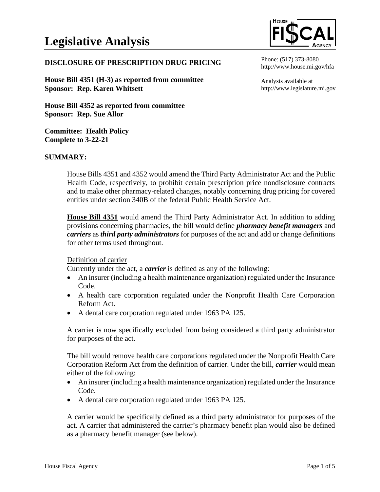

## **DISCLOSURE OF PRESCRIPTION DRUG PRICING**

**House Bill 4351 (H-3) as reported from committee Sponsor: Rep. Karen Whitsett**

**House Bill 4352 as reported from committee Sponsor: Rep. Sue Allor**

**Committee: Health Policy Complete to 3-22-21**

#### **SUMMARY:**

House Bills 4351 and 4352 would amend the Third Party Administrator Act and the Public Health Code, respectively, to prohibit certain prescription price nondisclosure contracts and to make other pharmacy-related changes, notably concerning drug pricing for covered entities under section 340B of the federal Public Health Service Act.

**House Bill 4351** would amend the Third Party Administrator Act. In addition to adding provisions concerning pharmacies, the bill would define *pharmacy benefit managers* and *carriers* as *third party administrators* for purposes of the act and add or change definitions for other terms used throughout.

#### Definition of carrier

Currently under the act, a *carrier* is defined as any of the following:

- An insurer (including a health maintenance organization) regulated under the Insurance Code.
- A health care corporation regulated under the Nonprofit Health Care Corporation Reform Act.
- A dental care corporation regulated under 1963 PA 125.

A carrier is now specifically excluded from being considered a third party administrator for purposes of the act.

The bill would remove health care corporations regulated under the Nonprofit Health Care Corporation Reform Act from the definition of carrier. Under the bill, *carrier* would mean either of the following:

- An insurer (including a health maintenance organization) regulated under the Insurance Code.
- A dental care corporation regulated under 1963 PA 125.

A carrier would be specifically defined as a third party administrator for purposes of the act. A carrier that administered the carrier's pharmacy benefit plan would also be defined as a pharmacy benefit manager (see below).

Analysis available at http://www.legislature.mi.gov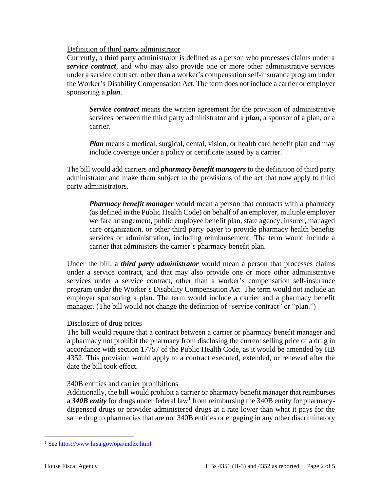### Definition of third party administrator

Currently, a third party administrator is defined as a person who processes claims under a *service contract*, and who may also provide one or more other administrative services under a service contract, other than a worker's compensation self-insurance program under the Worker's Disability Compensation Act. The term does not include a carrier or employer sponsoring a *plan*.

*Service contract* means the written agreement for the provision of administrative services between the third party administrator and a *plan*, a sponsor of a plan, or a carrier.

*Plan* means a medical, surgical, dental, vision, or health care benefit plan and may include coverage under a policy or certificate issued by a carrier.

The bill would add carriers and *pharmacy benefit managers* to the definition of third party administrator and make them subject to the provisions of the act that now apply to third party administrators.

*Pharmacy benefit manager* would mean a person that contracts with a pharmacy (as defined in the Public Health Code) on behalf of an employer, multiple employer welfare arrangement, public employee benefit plan, state agency, insurer, managed care organization, or other third party payer to provide pharmacy health benefits services or administration, including reimbursement. The term would include a carrier that administers the carrier's pharmacy benefit plan.

Under the bill, a *third party administrator* would mean a person that processes claims under a service contract, and that may also provide one or more other administrative services under a service contract, other than a worker's compensation self-insurance program under the Worker's Disability Compensation Act. The term would not include an employer sponsoring a plan. The term would include a carrier and a pharmacy benefit manager. (The bill would not change the definition of "service contract" or "plan.")

### Disclosure of drug prices

The bill would require that a contract between a carrier or pharmacy benefit manager and a pharmacy not prohibit the pharmacy from disclosing the current selling price of a drug in accordance with section 17757 of the Public Health Code, as it would be amended by HB 4352. This provision would apply to a contract executed, extended, or renewed after the date the bill took effect.

### 340B entities and carrier prohibitions

Additionally, the bill would prohibit a carrier or pharmacy benefit manager that reimburses a 340B entity for drugs under federal law<sup>1</sup> from reimbursing the 340B entity for pharmacydispensed drugs or provider-administered drugs at a rate lower than what it pays for the same drug to pharmacies that are not 340B entities or engaging in any other discriminatory

<sup>1</sup> Se[e https://www.hrsa.gov/opa/index.html](https://www.hrsa.gov/opa/index.html)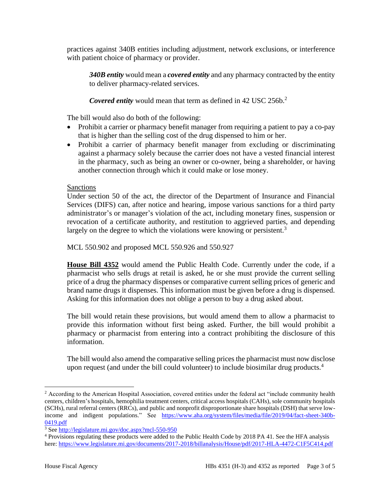practices against 340B entities including adjustment, network exclusions, or interference with patient choice of pharmacy or provider.

*340B entity* would mean a *covered entity* and any pharmacy contracted by the entity to deliver pharmacy-related services.

*Covered entity* would mean that term as defined in 42 USC 256b.<sup>2</sup>

The bill would also do both of the following:

- Prohibit a carrier or pharmacy benefit manager from requiring a patient to pay a co-pay that is higher than the selling cost of the drug dispensed to him or her.
- Prohibit a carrier of pharmacy benefit manager from excluding or discriminating against a pharmacy solely because the carrier does not have a vested financial interest in the pharmacy, such as being an owner or co-owner, being a shareholder, or having another connection through which it could make or lose money.

### Sanctions

Under section 50 of the act, the director of the Department of Insurance and Financial Services (DIFS) can, after notice and hearing, impose various sanctions for a third party administrator's or manager's violation of the act, including monetary fines, suspension or revocation of a certificate authority, and restitution to aggrieved parties, and depending largely on the degree to which the violations were knowing or persistent.<sup>3</sup>

MCL 550.902 and proposed MCL 550.926 and 550.927

**House Bill 4352** would amend the Public Health Code. Currently under the code, if a pharmacist who sells drugs at retail is asked, he or she must provide the current selling price of a drug the pharmacy dispenses or comparative current selling prices of generic and brand name drugs it dispenses. This information must be given before a drug is dispensed. Asking for this information does not oblige a person to buy a drug asked about.

The bill would retain these provisions, but would amend them to allow a pharmacist to provide this information without first being asked. Further, the bill would prohibit a pharmacy or pharmacist from entering into a contract prohibiting the disclosure of this information.

The bill would also amend the comparative selling prices the pharmacist must now disclose upon request (and under the bill could volunteer) to include biosimilar drug products.<sup>4</sup>

<sup>&</sup>lt;sup>2</sup> According to the American Hospital Association, covered entities under the federal act "include community health centers, children's hospitals, hemophilia treatment centers, critical access hospitals (CAHs), sole community hospitals (SCHs), rural referral centers (RRCs), and public and nonprofit disproportionate share hospitals (DSH) that serve lowincome and indigent populations." See [https://www.aha.org/system/files/media/file/2019/04/fact-sheet-340b-](https://www.aha.org/system/files/media/file/2019/04/fact-sheet-340b-0419.pdf)[0419.pdf](https://www.aha.org/system/files/media/file/2019/04/fact-sheet-340b-0419.pdf)

<sup>3</sup> Se[e http://legislature.mi.gov/doc.aspx?mcl-550-950](http://legislature.mi.gov/doc.aspx?mcl-550-950)

<sup>4</sup> Provisions regulating these products were added to the Public Health Code by 2018 PA 41. See the HFA analysis here[: https://www.legislature.mi.gov/documents/2017-2018/billanalysis/House/pdf/2017-HLA-4472-C1F5C414.pdf](https://www.legislature.mi.gov/documents/2017-2018/billanalysis/House/pdf/2017-HLA-4472-C1F5C414.pdf)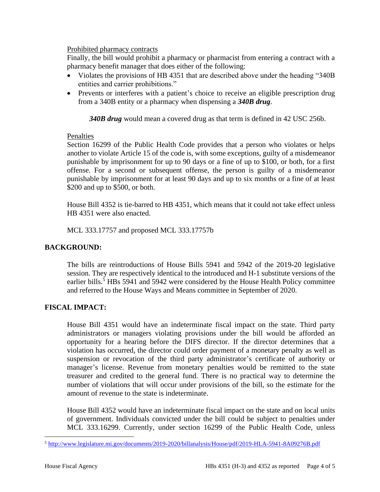### Prohibited pharmacy contracts

Finally, the bill would prohibit a pharmacy or pharmacist from entering a contract with a pharmacy benefit manager that does either of the following:

- Violates the provisions of HB 4351 that are described above under the heading "340B" entities and carrier prohibitions."
- Prevents or interferes with a patient's choice to receive an eligible prescription drug from a 340B entity or a pharmacy when dispensing a *340B drug*.

*340B drug* would mean a covered drug as that term is defined in 42 USC 256b.

### Penalties

Section 16299 of the Public Health Code provides that a person who violates or helps another to violate Article 15 of the code is, with some exceptions, guilty of a misdemeanor punishable by imprisonment for up to 90 days or a fine of up to \$100, or both, for a first offense. For a second or subsequent offense, the person is guilty of a misdemeanor punishable by imprisonment for at least 90 days and up to six months or a fine of at least \$200 and up to \$500, or both.

House Bill 4352 is tie-barred to HB 4351, which means that it could not take effect unless HB 4351 were also enacted.

MCL 333.17757 and proposed MCL 333.17757b

## **BACKGROUND:**

The bills are reintroductions of House Bills 5941 and 5942 of the 2019-20 legislative session. They are respectively identical to the introduced and H-1 substitute versions of the earlier bills.<sup>5</sup> HBs 5941 and 5942 were considered by the House Health Policy committee and referred to the House Ways and Means committee in September of 2020.

# **FISCAL IMPACT:**

House Bill 4351 would have an indeterminate fiscal impact on the state. Third party administrators or managers violating provisions under the bill would be afforded an opportunity for a hearing before the DIFS director. If the director determines that a violation has occurred, the director could order payment of a monetary penalty as well as suspension or revocation of the third party administrator's certificate of authority or manager's license. Revenue from monetary penalties would be remitted to the state treasurer and credited to the general fund. There is no practical way to determine the number of violations that will occur under provisions of the bill, so the estimate for the amount of revenue to the state is indeterminate.

House Bill 4352 would have an indeterminate fiscal impact on the state and on local units of government. Individuals convicted under the bill could be subject to penalties under MCL 333.16299. Currently, under section 16299 of the Public Health Code, unless

<sup>5</sup> <http://www.legislature.mi.gov/documents/2019-2020/billanalysis/House/pdf/2019-HLA-5941-8A09276B.pdf>